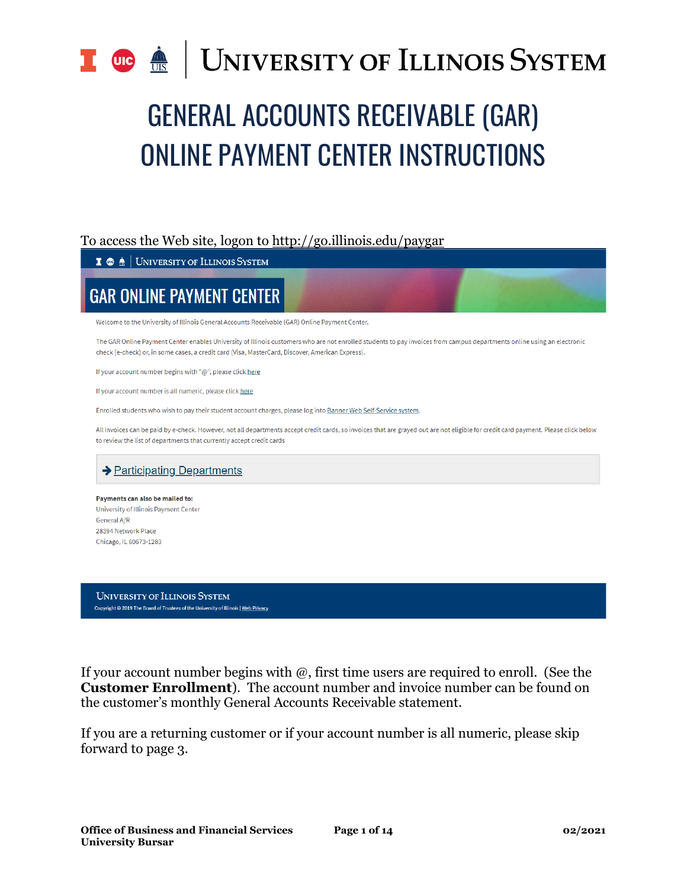### **UNIVERSITY OF ILLINOIS SYSTEM**  $\frac{dE}{dE}$

# GENERAL ACCOUNTS RECEIVABLE (GAR) ONLINE PAYMENT CENTER INSTRUCTIONS

### To access the Web site, logon to <http://go.illinois.edu/paygar>

#### $\mathbf{I} \otimes \mathbf{A}$  University of Illinois System

## **GAR ONLINE PAYMENT CENTER**

Welcome to the University of Illinois General Accounts Receivable (GAR) Online Payment Center.

The GAR Online Payment Center enables University of Illinois customers who are not enrolled students to pay invoices from campus departments online using an electronic check (e-check) or, in some cases, a credit card (Visa, MasterCard, Discover, American Express).

If your account number begins with "@", please click here

If your account number is all numeric, please click here

Enrolled students who wish to pay their student account charges, please log into Banner Web Self-Service system.

All invoices can be paid by e-check. However, not all departments accept credit cards, so invoices that are grayed out are not eligible for credit card payment. Please click below to review the list of departments that currently accept credit cards

### $\rightarrow$  Participating Departments

Payments can also be mailed to: University of Illinois Payment Center General A/R 28394 Network Place Chicago, IL 60673-1283

**UNIVERSITY OF ILLINOIS SYSTEM** Copyright @ 2019 The Board of Trustees of the University of Illinois | Web Privacy

If your account number begins with  $\omega$ , first time users are required to enroll. (See the **Customer Enrollment**). The account number and invoice number can be found on the customer's monthly General Accounts Receivable statement.

If you are a returning customer or if your account number is all numeric, please skip forward to page 3.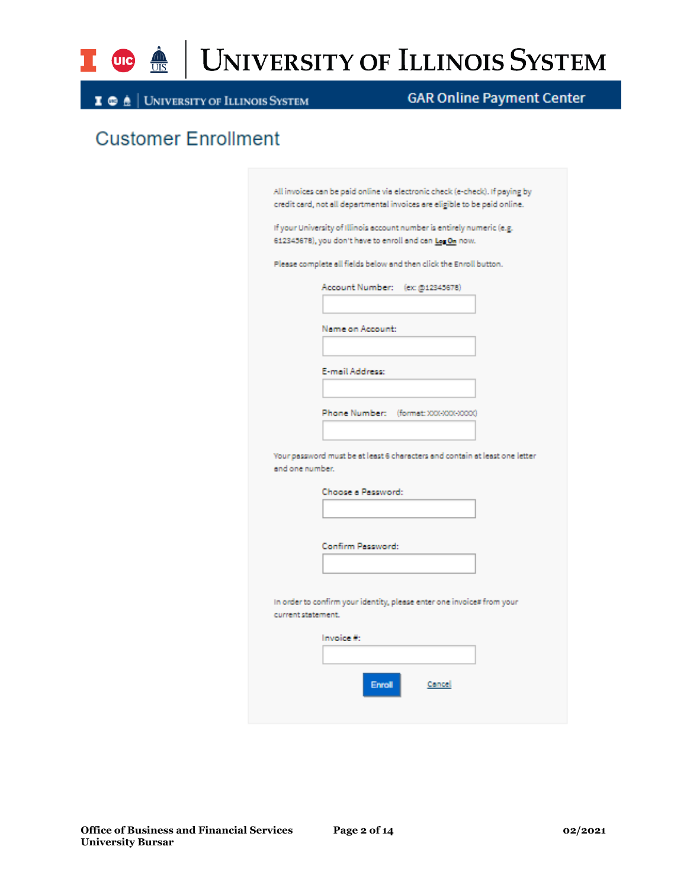

## UNIVERSITY OF ILLINOIS SYSTEM

**I**  $\oplus$   $\underline{\mathbb{A}}$  | University of Illinois System

### **GAR Online Payment Center**

## **Customer Enrollment**

|                 | If your University of Illinois account number is entirely numeric (e.g.<br>612345678), you don't have to enroll and can Leg On now. |
|-----------------|-------------------------------------------------------------------------------------------------------------------------------------|
|                 |                                                                                                                                     |
|                 | Please complete all fields below and then click the Enroll button.                                                                  |
|                 | Account Number: (ex: @12345678)                                                                                                     |
|                 |                                                                                                                                     |
|                 |                                                                                                                                     |
|                 | Name on Account:                                                                                                                    |
|                 |                                                                                                                                     |
|                 | E-mail Address:                                                                                                                     |
|                 |                                                                                                                                     |
|                 |                                                                                                                                     |
|                 | Phone Number: (format: XXX-XXX-XXXX)                                                                                                |
|                 |                                                                                                                                     |
|                 | Your password must be at least 6 characters and contain at least one letter                                                         |
| and one number. |                                                                                                                                     |
|                 | Choose a Password:                                                                                                                  |
|                 |                                                                                                                                     |
|                 |                                                                                                                                     |
|                 | Confirm Password:                                                                                                                   |
|                 |                                                                                                                                     |
|                 |                                                                                                                                     |
|                 |                                                                                                                                     |
|                 | In order to confirm your identity, please enter one invoice# from your<br>current statement.                                        |
|                 |                                                                                                                                     |
|                 | Invoice #:                                                                                                                          |
|                 |                                                                                                                                     |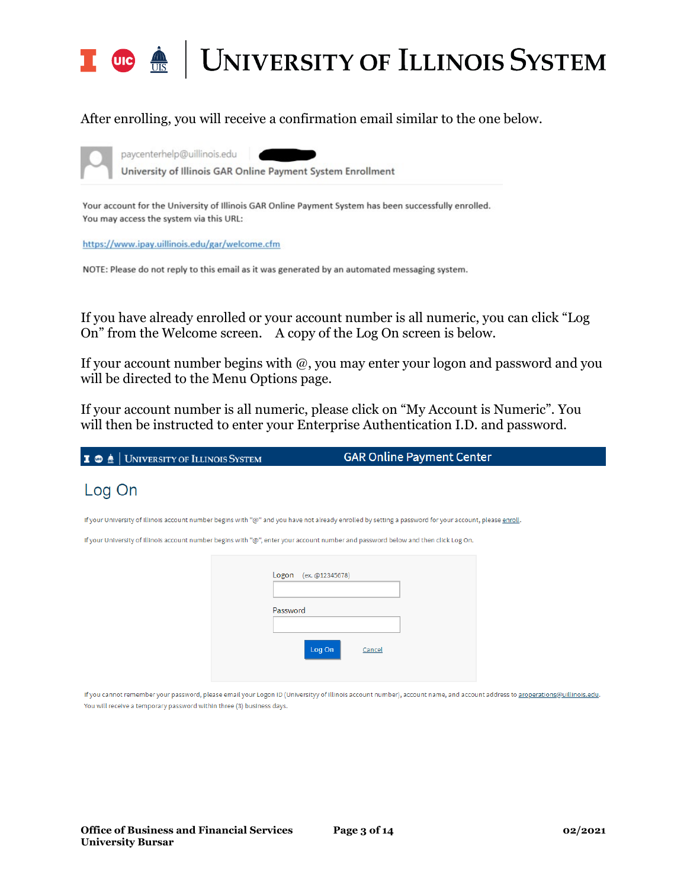

### After enrolling, you will receive a confirmation email similar to the one below.



paycenterhelp@uillinois.edu

University of Illinois GAR Online Payment System Enrollment

Your account for the University of Illinois GAR Online Payment System has been successfully enrolled. You may access the system via this URL:

https://www.ipay.uillinois.edu/gar/welcome.cfm

NOTE: Please do not reply to this email as it was generated by an automated messaging system.

If you have already enrolled or your account number is all numeric, you can click "Log On" from the Welcome screen. A copy of the Log On screen is below.

If your account number begins with  $@$ , you may enter your logon and password and you will be directed to the Menu Options page.

If your account number is all numeric, please click on "My Account is Numeric". You will then be instructed to enter your Enterprise Authentication I.D. and password.

| I <b>C</b> $\triangle$ UNIVERSITY OF ILLINOIS SYSTEM                  | <b>GAR Online Payment Center</b>                                                                                                                                            |
|-----------------------------------------------------------------------|-----------------------------------------------------------------------------------------------------------------------------------------------------------------------------|
| Log On                                                                |                                                                                                                                                                             |
|                                                                       | If your University of Illinois account number begins with "@" and you have not already enrolled by setting a password for your account, please enroll.                      |
|                                                                       | If your University of Illinois account number begins with "@", enter your account number and password below and then click Log On.                                          |
|                                                                       | Logon (ex. @12345678)<br>Password<br>Log On<br>Cancel                                                                                                                       |
| You will receive a temporary password within three (3) business days. | If you cannot remember your password, please email your Logon ID (Universityy of Illinois account number), account name, and account address to aroperations@uillinois.edu. |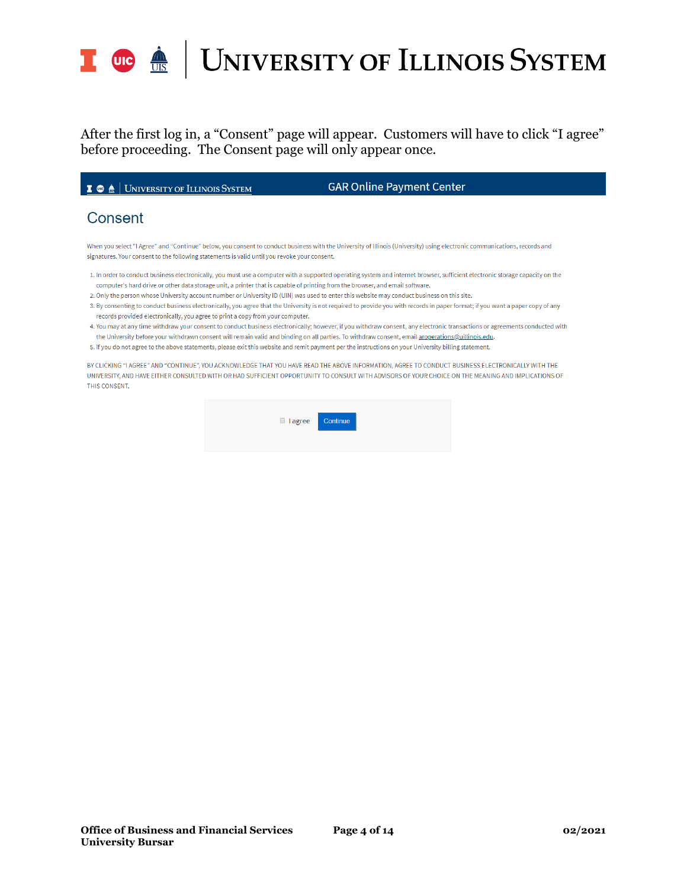

## UNIVERSITY OF ILLINOIS SYSTEM

After the first log in, a "Consent" page will appear. Customers will have to click "I agree" before proceeding. The Consent page will only appear once.

I **O**  $\triangle$  | UNIVERSITY OF ILLINOIS SYSTEM

**GAR Online Payment Center** 

### Consent

When you select "I Agree" and "Continue" below, you consent to conduct business with the University of Illinois (University) using electronic communications, records and signatures. Your consent to the following statements is valid until you revoke your consent.

- 1. In order to conduct business electronically, you must use a computer with a supported operating system and internet browser, sufficient electronic storage capacity on the computer's hard drive or other data storage unit, a printer that is capable of printing from the browser, and email software.
- 2. Only the person whose University account number or University ID (UIN) was used to enter this website may conduct business on this site.
- 3. By consenting to conduct business electronically, you agree that the University is not required to provide you with records in paper format; if you want a paper copy of any records provided electronically, you agree to print a copy from your computer.
- 4. You may at any time withdraw your consent to conduct business electronically; however, if you withdraw consent, any electronic transactions or agreements conducted with the University before your withdrawn consent will remain valid and binding on all parties. To withdraw consent, email aroperations@uillinois.edu.
- 5. If you do not agree to the above statements, please exit this website and remit payment per the instructions on your University billing statement.

BY CLICKING "I AGREE" AND "CONTINUE", YOU ACKNOWLEDGE THAT YOU HAVE READ THE ABOVE INFORMATION, AGREE TO CONDUCT BUSINESS ELECTRONICALLY WITH THE UNIVERSITY, AND HAVE EITHER CONSULTED WITH OR HAD SUFFICIENT OPPORTUNITY TO CONSULT WITH ADVISORS OF YOUR CHOICE ON THE MEANING AND IMPLICATIONS OF THIS CONSENT.

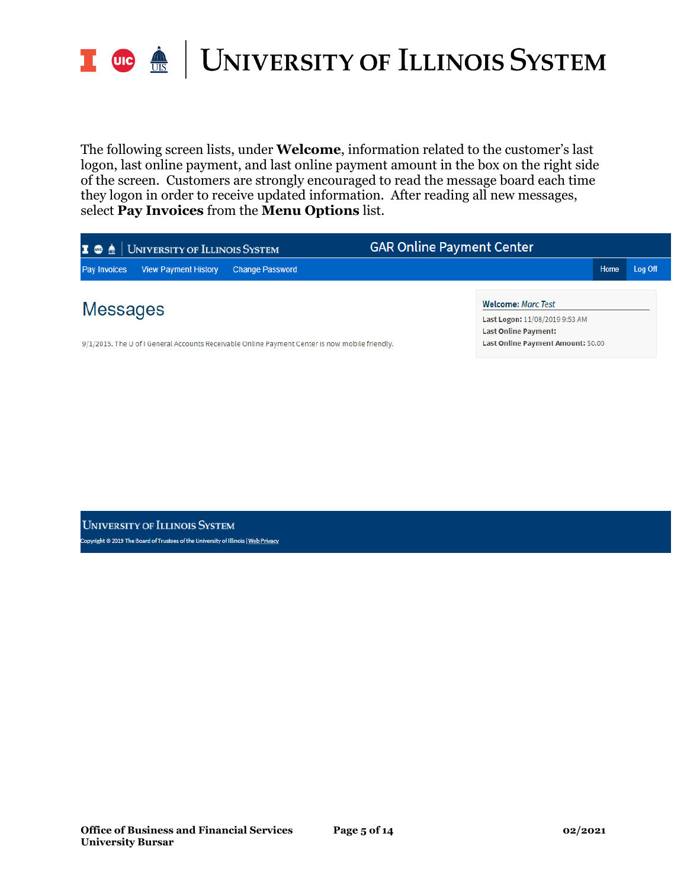

The following screen lists, under **Welcome**, information related to the customer's last logon, last online payment, and last online payment amount in the box on the right side of the screen. Customers are strongly encouraged to read the message board each time they logon in order to receive updated information. After reading all new messages, select **Pay Invoices** from the **Menu Options** list.

| UNIVERSITY OF ILLINOIS SYSTEM<br>I ® A                                                         | <b>GAR Online Payment Center</b>                                                           |      |         |
|------------------------------------------------------------------------------------------------|--------------------------------------------------------------------------------------------|------|---------|
| <b>View Payment History</b><br><b>Pay Invoices</b><br><b>Change Password</b>                   |                                                                                            | Home | Log Off |
| Messages                                                                                       | <b>Welcome: Marc Test</b><br>Last Logon: 11/08/2019 9:53 AM<br><b>Last Online Payment:</b> |      |         |
| 9/1/2015. The U of I General Accounts Receivable Online Payment Center is now mobile friendly. | Last Online Payment Amount: \$0.00                                                         |      |         |

**UNIVERSITY OF ILLINOIS SYSTEM** opyright © 2019 The Board of Trustees of the University of Illinois | <u>Web Privacy</u>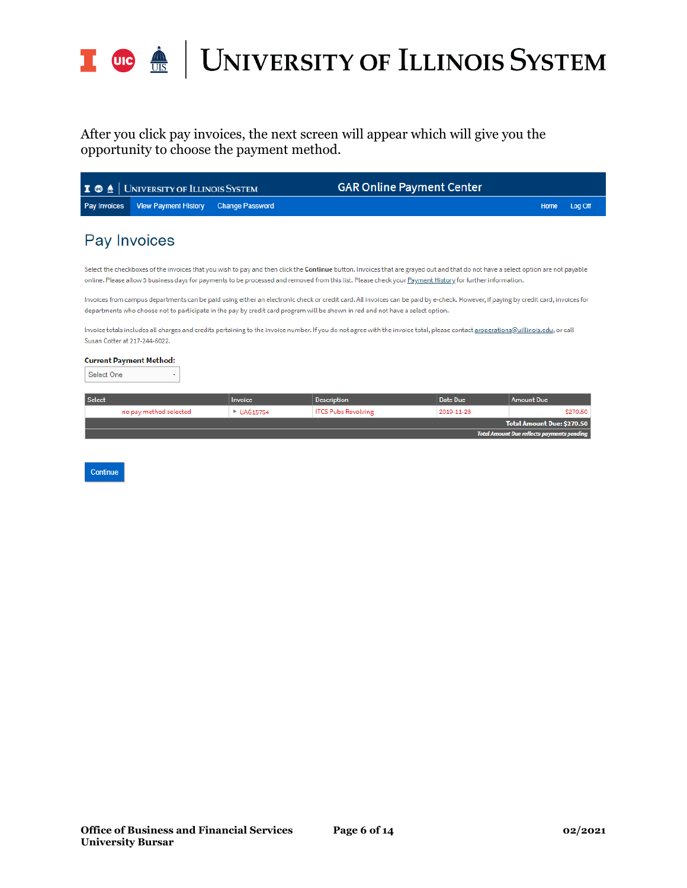

After you click pay invoices, the next screen will appear which will give you the opportunity to choose the payment method.

| <b>Pay Invoices</b><br><b>View Payment History</b><br><b>Change Password</b><br>Pay Invoices<br>Susan Cotter at 217-244-6022.<br><b>Current Payment Method:</b><br>Select One<br>۰ |                                                                                                                                                                                                                                                                                                                                                                                                                                                                                                                                                                                                                                                                                                                                                                                                                                                          |  |  |  |  |  |
|------------------------------------------------------------------------------------------------------------------------------------------------------------------------------------|----------------------------------------------------------------------------------------------------------------------------------------------------------------------------------------------------------------------------------------------------------------------------------------------------------------------------------------------------------------------------------------------------------------------------------------------------------------------------------------------------------------------------------------------------------------------------------------------------------------------------------------------------------------------------------------------------------------------------------------------------------------------------------------------------------------------------------------------------------|--|--|--|--|--|
|                                                                                                                                                                                    | Log Off<br>Home                                                                                                                                                                                                                                                                                                                                                                                                                                                                                                                                                                                                                                                                                                                                                                                                                                          |  |  |  |  |  |
|                                                                                                                                                                                    |                                                                                                                                                                                                                                                                                                                                                                                                                                                                                                                                                                                                                                                                                                                                                                                                                                                          |  |  |  |  |  |
|                                                                                                                                                                                    | Select the checkboxes of the invoices that you wish to pay and then click the Continue button. Invoices that are grayed out and that do not have a select option are not payable<br>online. Please allow 3 business days for payments to be processed and removed from this list. Please check your Payment History for further information.<br>Invoices from campus departments can be paid using either an electronic check or credit card. All invoices can be paid by e-check. However, if paying by credit card, invoices for<br>departments who choose not to participate in the pay by credit card program will be shown in red and not have a select option.<br>Invoice totals includes all charges and credits pertaining to the invoice number. If you do not agree with the invoice total, please contact aroperations@uillinois.edu, or call |  |  |  |  |  |
|                                                                                                                                                                                    |                                                                                                                                                                                                                                                                                                                                                                                                                                                                                                                                                                                                                                                                                                                                                                                                                                                          |  |  |  |  |  |
| Select<br><b>Date Due</b><br><b>Description</b><br>Invoice                                                                                                                         | <b>Amount Due</b>                                                                                                                                                                                                                                                                                                                                                                                                                                                                                                                                                                                                                                                                                                                                                                                                                                        |  |  |  |  |  |
| <b>ITCS Pubs Revolving</b><br>no pay method selected<br>2019-11-28<br><b>UAG15754</b>                                                                                              | \$270.50                                                                                                                                                                                                                                                                                                                                                                                                                                                                                                                                                                                                                                                                                                                                                                                                                                                 |  |  |  |  |  |
|                                                                                                                                                                                    | <b>Total Amount Due: \$270.50</b>                                                                                                                                                                                                                                                                                                                                                                                                                                                                                                                                                                                                                                                                                                                                                                                                                        |  |  |  |  |  |
| <b>Total Amount Due reflects payments pending</b>                                                                                                                                  |                                                                                                                                                                                                                                                                                                                                                                                                                                                                                                                                                                                                                                                                                                                                                                                                                                                          |  |  |  |  |  |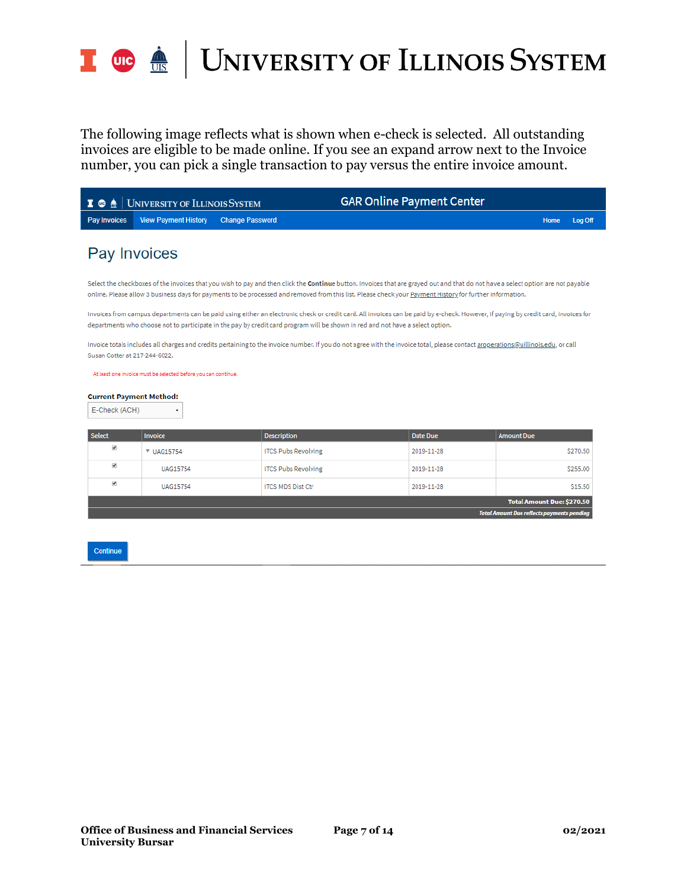

The following image reflects what is shown when e-check is selected. All outstanding invoices are eligible to be made online. If you see an expand arrow next to the Invoice number, you can pick a single transaction to pay versus the entire invoice amount.

| <b>GAR Online Payment Center</b><br>  UNIVERSITY OF ILLINOIS SYSTEM<br>I ® A                                                                                                                                                                                                                                                                 |                                                                |                            |                                                                                                                                                                                  |                   |  |  |
|----------------------------------------------------------------------------------------------------------------------------------------------------------------------------------------------------------------------------------------------------------------------------------------------------------------------------------------------|----------------------------------------------------------------|----------------------------|----------------------------------------------------------------------------------------------------------------------------------------------------------------------------------|-------------------|--|--|
| <b>Pay Invoices</b>                                                                                                                                                                                                                                                                                                                          | <b>View Payment History</b>                                    | <b>Change Password</b>     |                                                                                                                                                                                  | Log Off<br>Home   |  |  |
| Pay Invoices                                                                                                                                                                                                                                                                                                                                 |                                                                |                            |                                                                                                                                                                                  |                   |  |  |
| Select the checkboxes of the invoices that you wish to pay and then click the Continue button. Invoices that are grayed out and that do not have a select option are not payable<br>online. Please allow 3 business days for payments to be processed and removed from this list. Please check your Payment History for further information. |                                                                |                            |                                                                                                                                                                                  |                   |  |  |
| Invoices from campus departments can be paid using either an electronic check or credit card. All invoices can be paid by e-check. However, if paying by credit card, invoices for<br>departments who choose not to participate in the pay by credit card program will be shown in red and not have a select option.                         |                                                                |                            |                                                                                                                                                                                  |                   |  |  |
|                                                                                                                                                                                                                                                                                                                                              | Susan Cotter at 217-244-6022.                                  |                            | Invoice totals includes all charges and credits pertaining to the invoice number. If you do not agree with the invoice total, please contact aroperations@uillinois.edu, or call |                   |  |  |
|                                                                                                                                                                                                                                                                                                                                              | At least one invoice must be selected before you can continue. |                            |                                                                                                                                                                                  |                   |  |  |
| <b>Current Payment Method:</b><br>E-Check (ACH)<br>۰                                                                                                                                                                                                                                                                                         |                                                                |                            |                                                                                                                                                                                  |                   |  |  |
| <b>Select</b>                                                                                                                                                                                                                                                                                                                                | Invoice                                                        | <b>Description</b>         | <b>Date Due</b>                                                                                                                                                                  | <b>Amount Due</b> |  |  |
| V                                                                                                                                                                                                                                                                                                                                            | ▼ UAG15754                                                     | <b>ITCS Pubs Revolving</b> | 2019-11-28                                                                                                                                                                       | \$270.50          |  |  |
| ⊀                                                                                                                                                                                                                                                                                                                                            | <b>UAG15754</b>                                                | <b>ITCS Pubs Revolving</b> | 2019-11-28                                                                                                                                                                       | \$255.00          |  |  |
| $\overline{\mathbf{v}}$                                                                                                                                                                                                                                                                                                                      | <b>UAG15754</b>                                                | <b>ITCS MDS Dist Ctr</b>   | 2019-11-28                                                                                                                                                                       | \$15.50           |  |  |

**Total Amount Due: \$270.50** 

Continue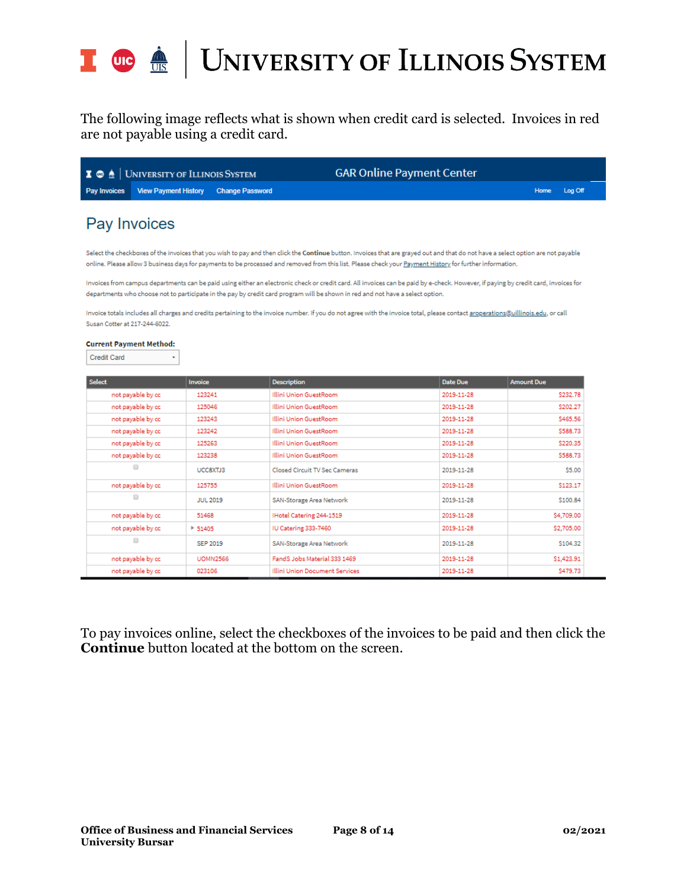

The following image reflects what is shown when credit card is selected. Invoices in red are not payable using a credit card.

| $\blacksquare$ $\blacksquare$ $\blacksquare$ University of Illinois System | <b>GAR Online Payment Center</b> |              |
|----------------------------------------------------------------------------|----------------------------------|--------------|
| Pay Invoices View Payment History Change Password                          |                                  | Home Log Off |

### Pay Invoices

Select the checkboxes of the invoices that you wish to pay and then click the Continue button. Invoices that are grayed out and that do not have a select option are not payable online. Please allow 3 business days for payments to be processed and removed from this list. Please check your Payment History for further information.

Invoices from campus departments can be paid using either an electronic check or credit card. All invoices can be paid by e-check. However, if paying by credit card, invoices for departments who choose not to participate in the pay by credit card program will be shown in red and not have a select option.

Invoice totals includes all charges and credits pertaining to the invoice number. If you do not agree with the invoice total, please contact aroperations@uillinois.edu, or call Susan Cotter at 217-244-6022.

#### **Current Payment Method:**

| Select               | Invoice         | <b>Description</b>             | <b>Date Due</b> | <b>Amount Due</b> |
|----------------------|-----------------|--------------------------------|-----------------|-------------------|
| not payable by co    | 123241          | Illini Union GuestRoom         | 2019-11-28      | \$232.78          |
| not payable by co    | 125046          | Illini Union GuestRoom         | 2019-11-28      | \$202.27          |
| not payable by co    | 123243          | Illini Union GuestRoom         | 2019-11-28      | \$465.56          |
| not payable by co    | 123242          | Illini Union GuestRoom         | 2019-11-28      | \$588.73          |
| not payable by co    | 125263          | Illini Union GuestRoom         | 2019-11-28      | \$220.35          |
| not payable by co    | 123238          | Illini Union GuestRoom         | 2019-11-28      | \$588.73          |
| $\Box$               | UCC8XTJ3        | Closed Circuit TV Sec Cameras  | 2019-11-28      | \$5.00            |
| not payable by co    | 125755          | Illini Union GuestRoom         | 2019-11-28      | \$123.17          |
| ▣                    | <b>JUL 2019</b> | SAN-Storage Area Network       | 2019-11-28      | \$100.84          |
| not payable by co    | 51468           | Hotel Catering 244-1519        | 2019-11-28      | \$4,709.00        |
| not payable by co    | $* 51405$       | IU Catering 333-7460           | 2019-11-28      | \$2,705.00        |
| $\qquad \qquad \Box$ | SEP 2019        | SAN-Storage Area Network       | 2019-11-28      | \$104.32          |
| not payable by co    | <b>UOMN2566</b> | FandS Jobs Material 333 1469   | 2019-11-28      | \$1,423.91        |
| not payable by co    | 023106          | Illini Union Document Services | 2019-11-28      | \$479.73          |

To pay invoices online, select the checkboxes of the invoices to be paid and then click the **Continue** button located at the bottom on the screen.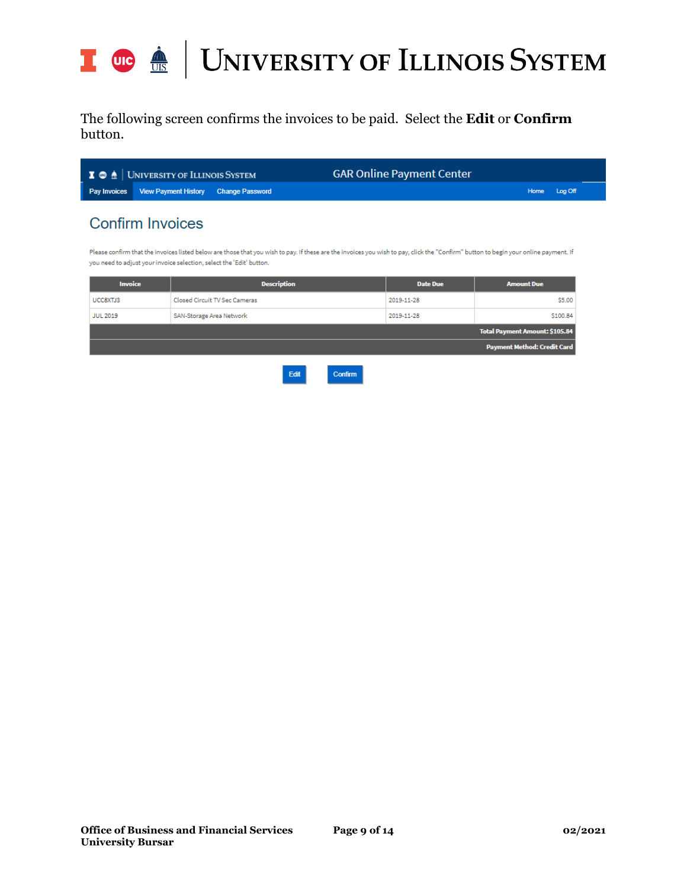

The following screen confirms the invoices to be paid. Select the **Edit** or **Confirm** button.

| $\blacksquare$ $\blacksquare$ $\blacksquare$ $\blacksquare$ $\blacksquare$ $\blacksquare$ $\blacksquare$ $\blacksquare$ $\blacksquare$ $\blacksquare$ $\blacksquare$ $\blacksquare$ $\blacksquare$ $\blacksquare$ $\blacksquare$ $\blacksquare$ $\blacksquare$ $\blacksquare$ $\blacksquare$ $\blacksquare$ $\blacksquare$ $\blacksquare$ $\blacksquare$ $\blacksquare$ $\blacksquare$ $\blacksquare$ $\blacksquare$ $\blacksquare$ $\blacksquare$ $\blacksquare$ $\blacksquare$ $\blacks$ | <b>GAR Online Payment Center</b> |              |
|--------------------------------------------------------------------------------------------------------------------------------------------------------------------------------------------------------------------------------------------------------------------------------------------------------------------------------------------------------------------------------------------------------------------------------------------------------------------------------------------|----------------------------------|--------------|
| Pay Invoices View Payment History Change Password                                                                                                                                                                                                                                                                                                                                                                                                                                          |                                  | Home Log Off |
|                                                                                                                                                                                                                                                                                                                                                                                                                                                                                            |                                  |              |

## **Confirm Invoices**

Please confirm that the invoices listed below are those that you wish to pay. If these are the invoices you wish to pay, click the "Confirm" button to begin your online payment. If you need to adjust your invoice selection, select the 'Edit' button.

| <b>Invoice</b>  | <b>Description</b>                     | <b>Date Due</b> | <b>Amount Due</b>                     |
|-----------------|----------------------------------------|-----------------|---------------------------------------|
| UCC8XTJ3        | Closed Circuit TV Sec Cameras          | 2019-11-28      | \$5.00                                |
| <b>JUL 2019</b> | SAN-Storage Area Network<br>2019-11-28 |                 | \$100.84                              |
|                 |                                        |                 | <b>Total Payment Amount: \$105.84</b> |
|                 |                                        |                 | Payment Method: Credit Card           |
|                 |                                        |                 |                                       |

Edit Confirm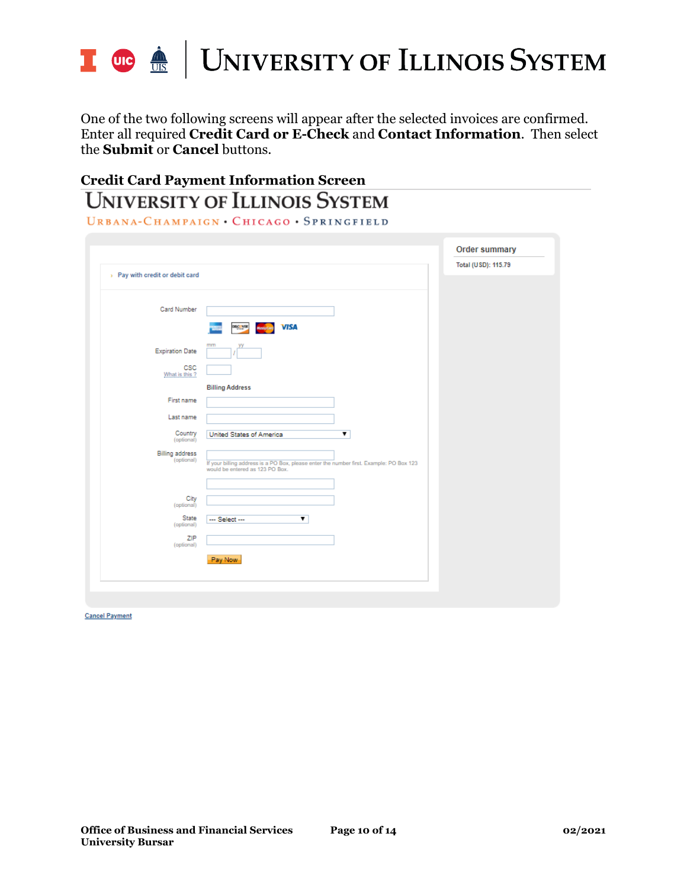

One of the two following screens will appear after the selected invoices are confirmed. Enter all required **Credit Card or E-Check** and **Contact Information**. Then select the **Submit** or **Cancel** buttons.

## **Credit Card Payment Information ScreenUNIVERSITY OF ILLINOIS SYSTEM**

URBANA-CHAMPAIGN · CHICAGO · SPRINGFIELD

| > Pay with credit or debit card      |                                                                                                                            | Total (USD): 115.79 |
|--------------------------------------|----------------------------------------------------------------------------------------------------------------------------|---------------------|
| Card Number                          |                                                                                                                            |                     |
|                                      | <b>VISA</b><br>DISC VIR<br>MasterCard                                                                                      |                     |
| <b>Expiration Date</b>               | mm                                                                                                                         |                     |
| CSC<br>What is this ?                |                                                                                                                            |                     |
|                                      | <b>Billing Address</b>                                                                                                     |                     |
| First name                           |                                                                                                                            |                     |
| Last name                            |                                                                                                                            |                     |
| Country<br>(optional)                | United States of America<br>$\overline{\mathbf{v}}$                                                                        |                     |
| <b>Billing address</b><br>(optional) | If your billing address is a PO Box, please enter the number first. Example: PO Box 123<br>would be entered as 123 PO Box. |                     |
|                                      |                                                                                                                            |                     |
| City<br>(optional)                   |                                                                                                                            |                     |
| State<br>(optional)                  | $\overline{\mathbf{v}}$<br>--- Select ---                                                                                  |                     |
| ZIP<br>(optional)                    |                                                                                                                            |                     |
|                                      | Pay Now                                                                                                                    |                     |

**Cancel Payment**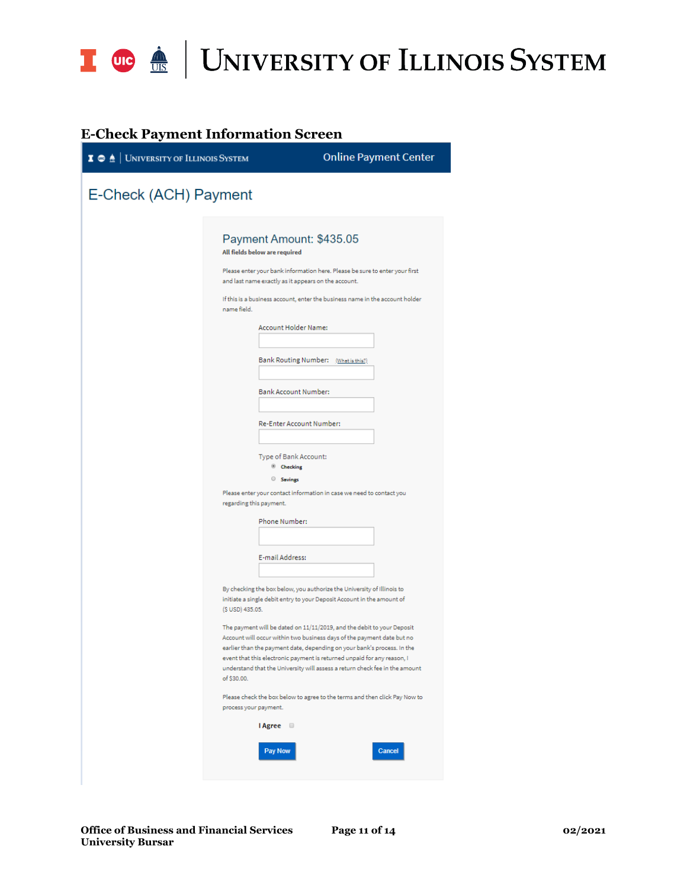

### **E-Check Payment Information Screen**

| $\mathbf{I} \otimes \mathbf{A}$ University of Illinois System | <b>Online Payment Center</b>                                                                                                                                                                                                                                                                                                                                                                                                                                                                                                                                                                                                                                                                                                                                          |  |
|---------------------------------------------------------------|-----------------------------------------------------------------------------------------------------------------------------------------------------------------------------------------------------------------------------------------------------------------------------------------------------------------------------------------------------------------------------------------------------------------------------------------------------------------------------------------------------------------------------------------------------------------------------------------------------------------------------------------------------------------------------------------------------------------------------------------------------------------------|--|
| E-Check (ACH) Payment                                         |                                                                                                                                                                                                                                                                                                                                                                                                                                                                                                                                                                                                                                                                                                                                                                       |  |
|                                                               | Payment Amount: \$435.05<br>All fields below are required<br>Please enter your bank information here. Please be sure to enter your first<br>and last name exactly as it appears on the account.<br>If this is a business account, enter the business name in the account holder<br>name field.<br><b>Account Holder Name:</b><br>Bank Routing Number: (What is this?)<br>Bank Account Number:<br>Re-Enter Account Number:<br>Type of Bank Account:<br><sup>®</sup> Checking<br>Savings<br>Please enter your contact information in case we need to contact you<br>regarding this payment.                                                                                                                                                                             |  |
|                                                               | Phone Number:<br>E-mail Address:<br>By checking the box below, you authorize the University of Illinois to<br>initiate a single debit entry to your Deposit Account in the amount of<br>(\$ USD) 435.05.<br>The payment will be dated on 11/11/2019, and the debit to your Deposit<br>Account will occur within two business days of the payment date but no<br>earlier than the payment date, depending on your bank's process. In the<br>event that this electronic payment is returned unpaid for any reason, I<br>understand that the University will assess a return check fee in the amount<br>of \$30.00.<br>Please check the box below to agree to the terms and then click Pay Now to<br>process your payment.<br><b>I</b> Agree<br><b>Pay Now</b><br>Cancel |  |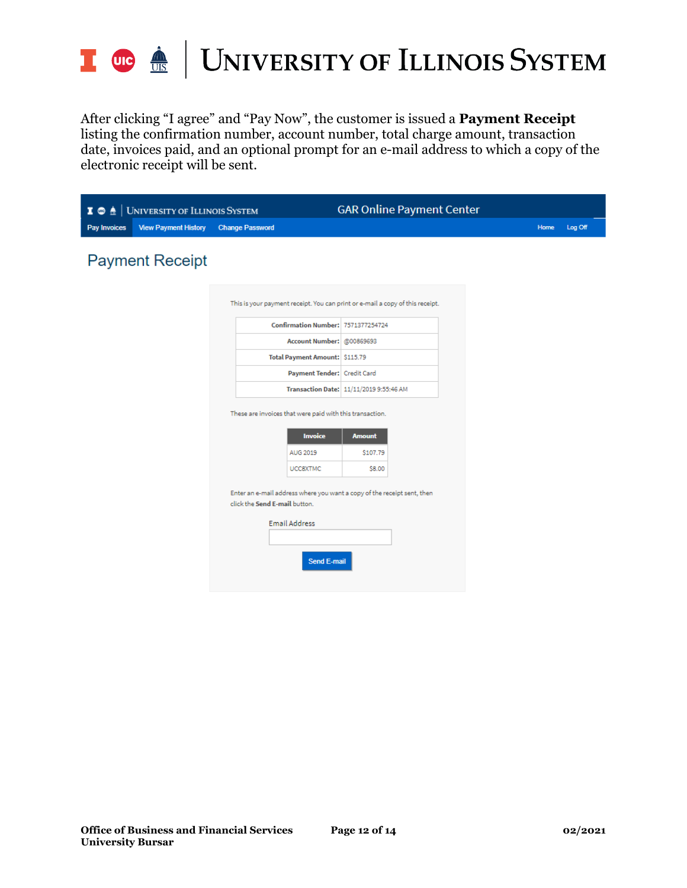

# I **OG**  $\frac{1}{16}$  UNIVERSITY OF ILLINOIS SYSTEM

After clicking "I agree" and "Pay Now", the customer is issued a **Payment Receipt** listing the confirmation number, account number, total charge amount, transaction date, invoices paid, and an optional prompt for an e-mail address to which a copy of the electronic receipt will be sent.

| $I^{\circ}$  | <b>UNIVERSITY OF ILLINOIS SYSTEM</b> |                                                                                                          | <b>GAR Online Payment Center</b>        |                 |
|--------------|--------------------------------------|----------------------------------------------------------------------------------------------------------|-----------------------------------------|-----------------|
| Pay Invoices | <b>View Payment History</b>          | <b>Change Password</b>                                                                                   |                                         | Home<br>Log Off |
|              | <b>Payment Receipt</b>               |                                                                                                          |                                         |                 |
|              |                                      | This is your payment receipt. You can print or e-mail a copy of this receipt.                            |                                         |                 |
|              |                                      | Confirmation Number: 7571377254724                                                                       |                                         |                 |
|              |                                      | Account Number: @00869693                                                                                |                                         |                 |
|              |                                      | Total Payment Amount: \$115.79                                                                           |                                         |                 |
|              |                                      | Payment Tender: Credit Card                                                                              |                                         |                 |
|              |                                      |                                                                                                          | Transaction Date: 11/11/2019 9:55:46 AM |                 |
|              |                                      | These are invoices that were paid with this transaction.                                                 |                                         |                 |
|              |                                      | <b>Invoice</b>                                                                                           | <b>Amount</b>                           |                 |
|              |                                      | AUG 2019                                                                                                 | \$107.79                                |                 |
|              |                                      | <b>UCCSXTMC</b>                                                                                          | \$8.00                                  |                 |
|              |                                      | Enter an e-mail address where you want a copy of the receipt sent, then<br>click the Send E-mail button. |                                         |                 |
|              |                                      | <b>Email Address</b>                                                                                     |                                         |                 |
|              |                                      | <b>Send E-mail</b>                                                                                       |                                         |                 |
|              |                                      |                                                                                                          |                                         |                 |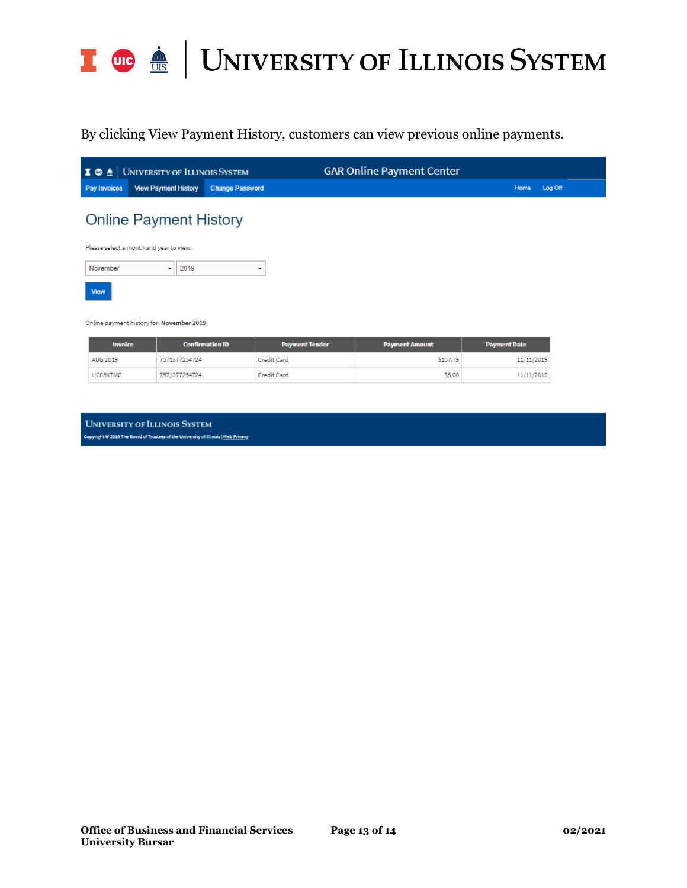

By clicking View Payment History, customers can view previous online payments.

|                                           | $\bullet$ $\bullet$ $\bullet$ University of Illinois System |                        | <b>GAR Online Payment Center</b> |                 |  |  |  |  |
|-------------------------------------------|-------------------------------------------------------------|------------------------|----------------------------------|-----------------|--|--|--|--|
| <b>Pay Invoices</b>                       | <b>View Payment History</b>                                 | <b>Change Password</b> |                                  | Log Off<br>Home |  |  |  |  |
| <b>Online Payment History</b>             |                                                             |                        |                                  |                 |  |  |  |  |
| Please select a month and year to view:   |                                                             |                        |                                  |                 |  |  |  |  |
| November                                  | 2019<br>۰                                                   | ۰                      |                                  |                 |  |  |  |  |
| View                                      |                                                             |                        |                                  |                 |  |  |  |  |
| Online payment history for: November 2019 |                                                             |                        |                                  |                 |  |  |  |  |

| <b>Invoice</b>  | <b>Confirmation ID</b> | <b>Payment Tender</b> | <b>Payment Amount</b> | <b>Payment Date</b> |
|-----------------|------------------------|-----------------------|-----------------------|---------------------|
| AUG 2019        | 7571377254724          | Credit Card           | \$107.79              | 11/11/2019          |
| <b>UCCSXTMC</b> | 7571377254724          | Credit Card           | \$8.00                | 11/11/2019          |

**UNIVERSITY OF ILLINOIS SYSTEM** Copyright 8 2019 The Board of Trustees of the University of Illinois | Web Privacy